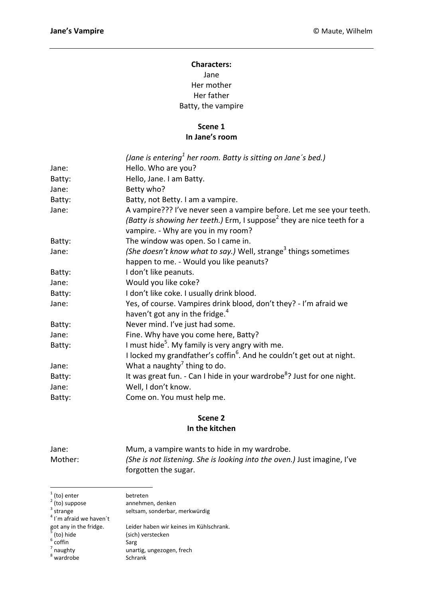# **Characters:** Jane Her mother Her father Batty, the vampire

#### **Scene 1 In Jane's room**

|        | (Jane is entering <sup>1</sup> her room. Batty is sitting on Jane's bed.)           |
|--------|-------------------------------------------------------------------------------------|
| Jane:  | Hello. Who are you?                                                                 |
| Batty: | Hello, Jane. I am Batty.                                                            |
| Jane:  | Betty who?                                                                          |
| Batty: | Batty, not Betty. I am a vampire.                                                   |
| Jane:  | A vampire??? I've never seen a vampire before. Let me see your teeth.               |
|        | (Batty is showing her teeth.) Erm, I suppose <sup>2</sup> they are nice teeth for a |
|        | vampire. - Why are you in my room?                                                  |
| Batty: | The window was open. So I came in.                                                  |
| Jane:  | (She doesn't know what to say.) Well, strange <sup>3</sup> things sometimes         |
|        | happen to me. - Would you like peanuts?                                             |
| Batty: | I don't like peanuts.                                                               |
| Jane:  | Would you like coke?                                                                |
| Batty: | I don't like coke. I usually drink blood.                                           |
| Jane:  | Yes, of course. Vampires drink blood, don't they? - I'm afraid we                   |
|        | haven't got any in the fridge. <sup>4</sup>                                         |
| Batty: | Never mind. I've just had some.                                                     |
| Jane:  | Fine. Why have you come here, Batty?                                                |
| Batty: | I must hide <sup>5</sup> . My family is very angry with me.                         |
|        | I locked my grandfather's coffin <sup>6</sup> . And he couldn't get out at night.   |
| Jane:  | What a naughty <sup>7</sup> thing to do.                                            |
| Batty: | It was great fun. - Can I hide in your wardrobe <sup>8</sup> ? Just for one night.  |
| Jane:  | Well, I don't know.                                                                 |
| Batty: | Come on. You must help me.                                                          |

### **Scene 2 In the kitchen**

| Jane:   | Mum, a vampire wants to hide in my wardrobe.                             |
|---------|--------------------------------------------------------------------------|
| Mother: | (She is not listening. She is looking into the oven.) Just imagine, I've |
|         | forgotten the sugar.                                                     |

| $1$ (to) enter                          | betreten                                |
|-----------------------------------------|-----------------------------------------|
| $2$ (to) suppose                        | annehmen, denken                        |
| $3$ strange                             | seltsam, sonderbar, merkwürdig          |
| $4$ I'm afraid we haven't               |                                         |
|                                         | Leider haben wir keines im Kühlschrank. |
| got any in the fridge.<br>$5$ (to) hide | (sich) verstecken                       |
| $6$ coffin                              | Sarg                                    |
| $7$ naughty                             | unartig, ungezogen, frech               |
| $8$ wardrobe                            | Schrank                                 |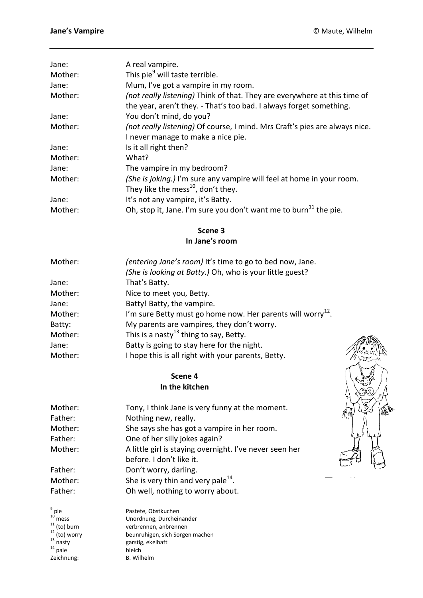| Jane:   | A real vampire.                                                                                                                                  |
|---------|--------------------------------------------------------------------------------------------------------------------------------------------------|
| Mother: | This pie <sup>9</sup> will taste terrible.                                                                                                       |
| Jane:   | Mum, I've got a vampire in my room.                                                                                                              |
| Mother: | (not really listening) Think of that. They are everywhere at this time of<br>the year, aren't they. - That's too bad. I always forget something. |
| Jane:   | You don't mind, do you?                                                                                                                          |
| Mother: | (not really listening) Of course, I mind. Mrs Craft's pies are always nice.                                                                      |
|         | I never manage to make a nice pie.                                                                                                               |
| Jane:   | Is it all right then?                                                                                                                            |
| Mother: | What?                                                                                                                                            |
| Jane:   | The vampire in my bedroom?                                                                                                                       |
| Mother: | (She is joking.) I'm sure any vampire will feel at home in your room.<br>They like the mess $^{10}$ , don't they.                                |
| Jane:   | It's not any vampire, it's Batty.                                                                                                                |
| Mother: | Oh, stop it, Jane. I'm sure you don't want me to burn <sup>11</sup> the pie.                                                                     |

**Scene 3 In Jane's room**

| Mother: | (entering Jane's room) It's time to go to bed now, Jane.                |
|---------|-------------------------------------------------------------------------|
|         | (She is looking at Batty.) Oh, who is your little guest?                |
| Jane:   | That's Batty.                                                           |
| Mother: | Nice to meet you, Betty.                                                |
| Jane:   | Batty! Batty, the vampire.                                              |
| Mother: | I'm sure Betty must go home now. Her parents will worry <sup>12</sup> . |
| Batty:  | My parents are vampires, they don't worry.                              |
| Mother: | This is a nasty <sup>13</sup> thing to say, Betty.                      |
| Jane:   | Batty is going to stay here for the night.                              |
| Mother: | I hope this is all right with your parents, Betty.                      |

**Scene 4 In the kitchen**

| Mother: | Tony, I think Jane is very funny at the moment.         |
|---------|---------------------------------------------------------|
| Father: | Nothing new, really.                                    |
| Mother: | She says she has got a vampire in her room.             |
| Father: | One of her silly jokes again?                           |
| Mother: | A little girl is staying overnight. I've never seen her |
|         | before. I don't like it.                                |
| Father: | Don't worry, darling.                                   |
| Mother: | She is very thin and very pale $^{14}$ .                |
| Father: | Oh well, nothing to worry about.                        |

 $^{14}$  pale bleich Zeichnung: B. Wilhelm

–<br>9

Pastete, Obstkuchen Unordnung, Durcheinander verbrennen, anbrennen beunruhigen, sich Sorgen machen garstig, ekelhaft<br>bleich

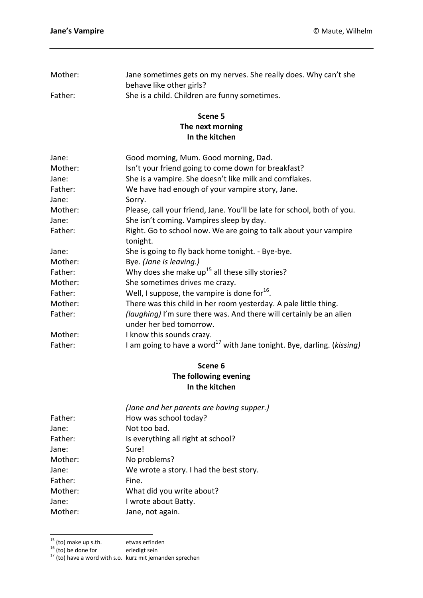| Mother: | Jane sometimes gets on my nerves. She really does. Why can't she |
|---------|------------------------------------------------------------------|
|         | behave like other girls?                                         |
| Father: | She is a child. Children are funny sometimes.                    |

#### **Scene 5 The next morning In the kitchen**

| Jane:   | Good morning, Mum. Good morning, Dad.                                                       |
|---------|---------------------------------------------------------------------------------------------|
| Mother: | Isn't your friend going to come down for breakfast?                                         |
| Jane:   | She is a vampire. She doesn't like milk and cornflakes.                                     |
| Father: | We have had enough of your vampire story, Jane.                                             |
| Jane:   | Sorry.                                                                                      |
| Mother: | Please, call your friend, Jane. You'll be late for school, both of you.                     |
| Jane:   | She isn't coming. Vampires sleep by day.                                                    |
| Father: | Right. Go to school now. We are going to talk about your vampire                            |
|         | tonight.                                                                                    |
| Jane:   | She is going to fly back home tonight. - Bye-bye.                                           |
| Mother: | Bye. (Jane is leaving.)                                                                     |
| Father: | Why does she make $up^{15}$ all these silly stories?                                        |
| Mother: | She sometimes drives me crazy.                                                              |
| Father: | Well, I suppose, the vampire is done for $16$ .                                             |
| Mother: | There was this child in her room yesterday. A pale little thing.                            |
| Father: | <i>(laughing)</i> I'm sure there was. And there will certainly be an alien                  |
|         | under her bed tomorrow.                                                                     |
| Mother: | I know this sounds crazy.                                                                   |
| Father: | I am going to have a word <sup>17</sup> with Jane tonight. Bye, darling. ( <i>kissing</i> ) |

## **Scene 6 The following evening In the kitchen**

| (Jane and her parents are having supper.) |
|-------------------------------------------|
| How was school today?                     |
| Not too bad.                              |
| Is everything all right at school?        |
| Sure!                                     |
| No problems?                              |
| We wrote a story. I had the best story.   |
| Fine.                                     |
| What did you write about?                 |
| I wrote about Batty.                      |
| Jane, not again.                          |
|                                           |

 $15$  (to) make up s.th. etwas erfinden

 $\overline{a}$ 

 $^{16}$  (to) be done for erledigt sein

 $17$  (to) have a word with s.o. kurz mit jemanden sprechen